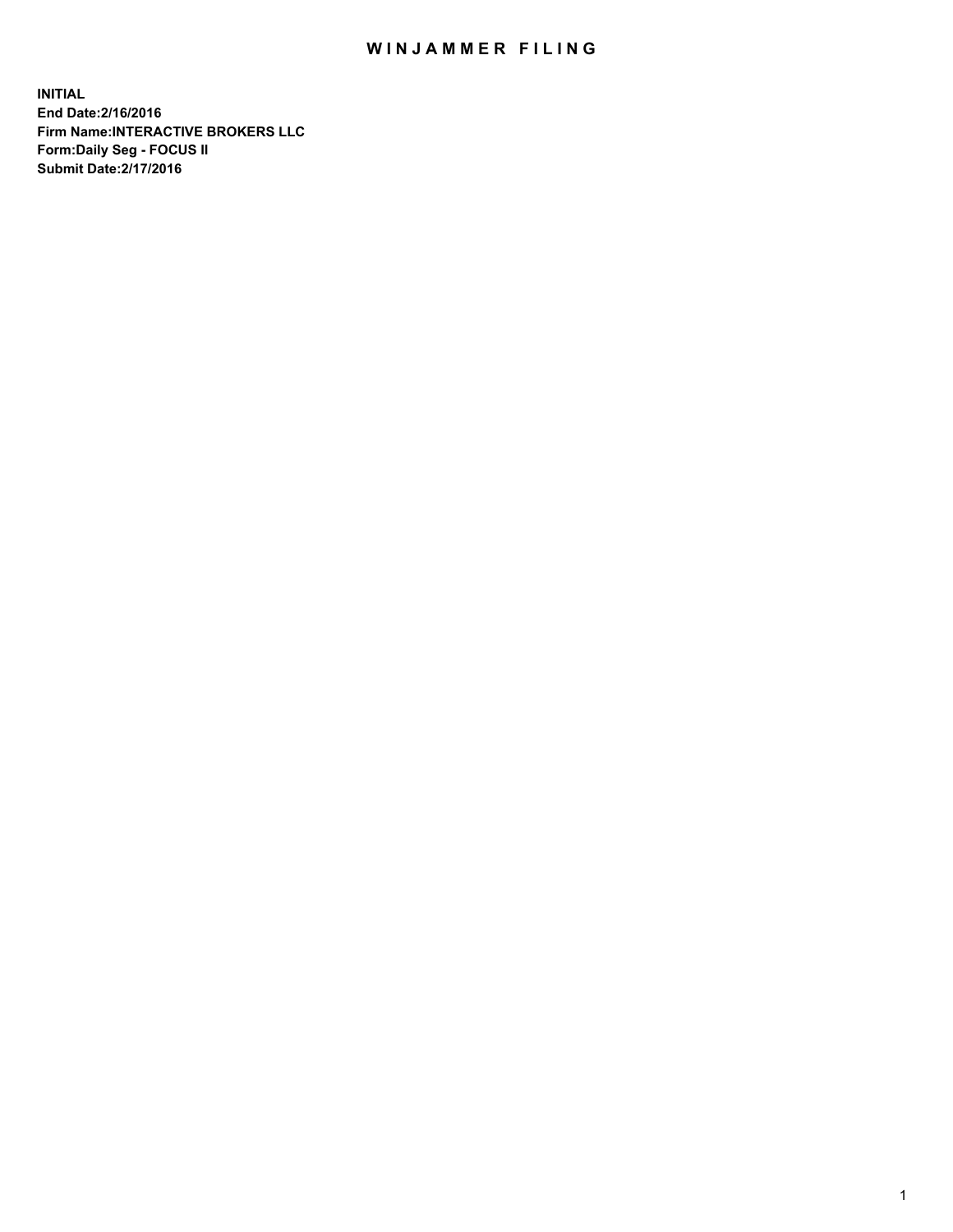## WIN JAMMER FILING

**INITIAL End Date:2/16/2016 Firm Name:INTERACTIVE BROKERS LLC Form:Daily Seg - FOCUS II Submit Date:2/17/2016**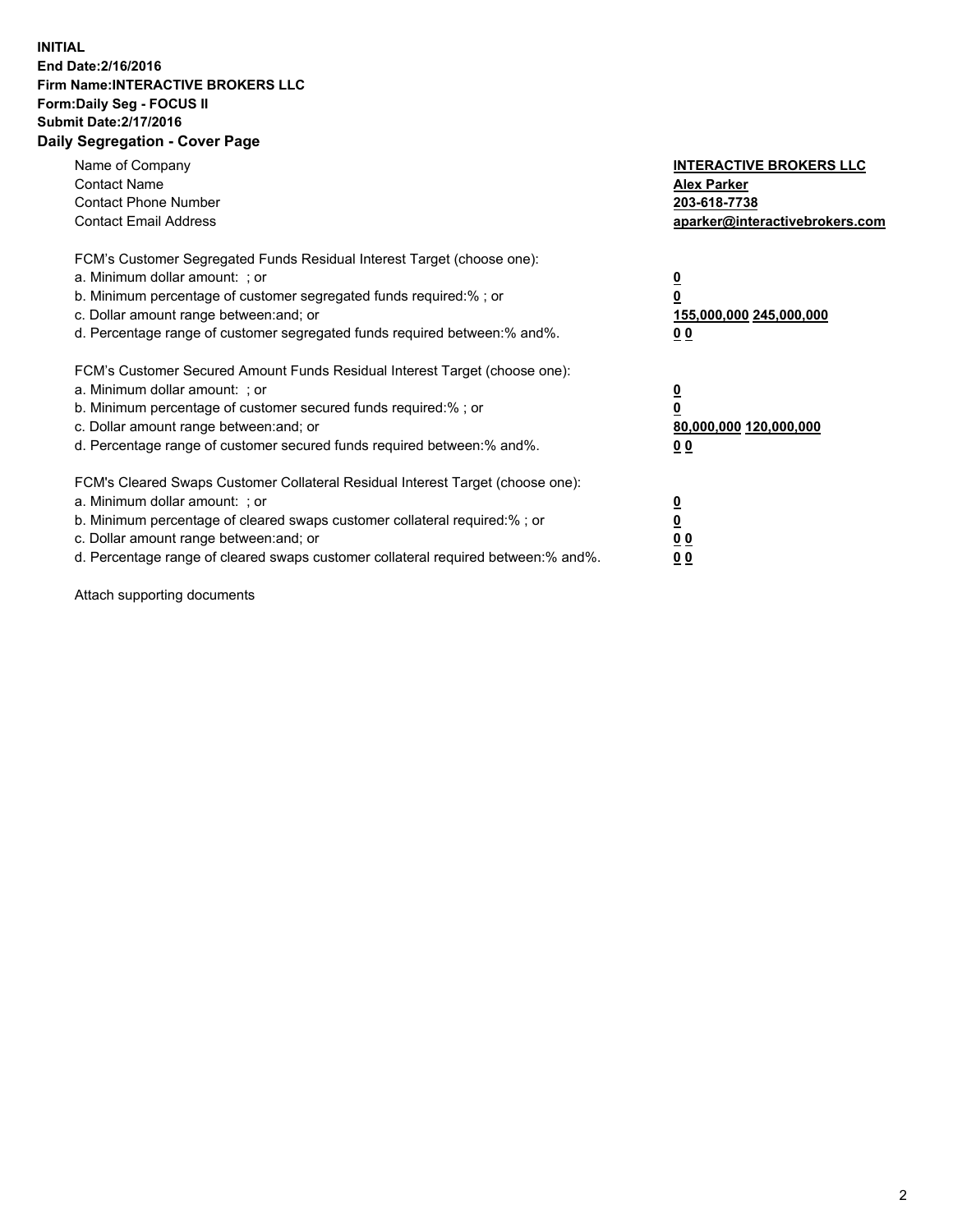## **INITIAL End Date:2/16/2016 Firm Name:INTERACTIVE BROKERS LLC Form:Daily Seg - FOCUS II Submit Date:2/17/2016 Daily Segregation - Cover Page**

| Name of Company<br><b>Contact Name</b><br><b>Contact Phone Number</b><br><b>Contact Email Address</b>                                                                                                                                                                                                                          | <b>INTERACTIVE BROKERS LLC</b><br><b>Alex Parker</b><br>203-618-7738<br>aparker@interactivebrokers.com |
|--------------------------------------------------------------------------------------------------------------------------------------------------------------------------------------------------------------------------------------------------------------------------------------------------------------------------------|--------------------------------------------------------------------------------------------------------|
| FCM's Customer Segregated Funds Residual Interest Target (choose one):<br>a. Minimum dollar amount: ; or<br>b. Minimum percentage of customer segregated funds required:% ; or<br>c. Dollar amount range between: and; or<br>d. Percentage range of customer segregated funds required between:% and%.                         | <u>0</u><br>155,000,000 245,000,000<br><u>00</u>                                                       |
| FCM's Customer Secured Amount Funds Residual Interest Target (choose one):<br>a. Minimum dollar amount: ; or<br>b. Minimum percentage of customer secured funds required:% ; or<br>c. Dollar amount range between: and; or<br>d. Percentage range of customer secured funds required between:% and%.                           | <u>0</u><br>80,000,000 120,000,000<br>0 <sub>0</sub>                                                   |
| FCM's Cleared Swaps Customer Collateral Residual Interest Target (choose one):<br>a. Minimum dollar amount: ; or<br>b. Minimum percentage of cleared swaps customer collateral required:% ; or<br>c. Dollar amount range between: and; or<br>d. Percentage range of cleared swaps customer collateral required between:% and%. | <u>0</u><br>0 <sub>0</sub><br>0 <sub>0</sub>                                                           |

Attach supporting documents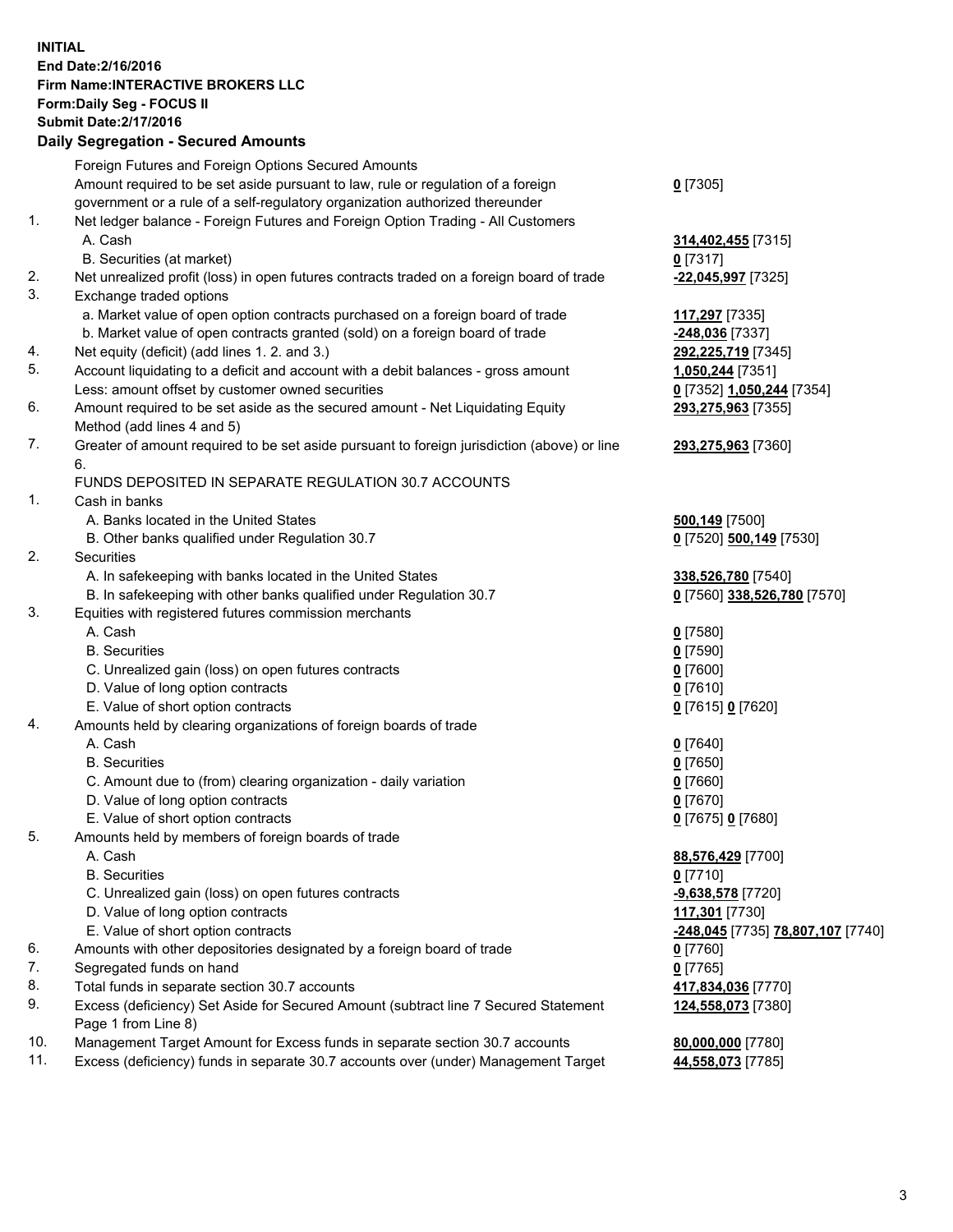## **INITIAL End Date:2/16/2016 Firm Name:INTERACTIVE BROKERS LLC Form:Daily Seg - FOCUS II Submit Date:2/17/2016 Daily Segregation - Secured Amounts**

|     | Dany Ocgregation - Oceanea Annoanta                                                         |                                                 |
|-----|---------------------------------------------------------------------------------------------|-------------------------------------------------|
|     | Foreign Futures and Foreign Options Secured Amounts                                         |                                                 |
|     | Amount required to be set aside pursuant to law, rule or regulation of a foreign            | $0$ [7305]                                      |
|     | government or a rule of a self-regulatory organization authorized thereunder                |                                                 |
| 1.  | Net ledger balance - Foreign Futures and Foreign Option Trading - All Customers             |                                                 |
|     | A. Cash                                                                                     | 314,402,455 [7315]                              |
|     | B. Securities (at market)                                                                   | $0$ [7317]                                      |
| 2.  | Net unrealized profit (loss) in open futures contracts traded on a foreign board of trade   | -22,045,997 [7325]                              |
| 3.  | Exchange traded options                                                                     |                                                 |
|     |                                                                                             |                                                 |
|     | a. Market value of open option contracts purchased on a foreign board of trade              | 117,297 [7335]                                  |
|     | b. Market value of open contracts granted (sold) on a foreign board of trade                | <mark>-248,036</mark> [7337]                    |
| 4.  | Net equity (deficit) (add lines 1. 2. and 3.)                                               | 292,225,719 [7345]                              |
| 5.  | Account liquidating to a deficit and account with a debit balances - gross amount           | 1,050,244 [7351]                                |
|     | Less: amount offset by customer owned securities                                            | 0 [7352] 1,050,244 [7354]                       |
| 6.  | Amount required to be set aside as the secured amount - Net Liquidating Equity              | 293,275,963 [7355]                              |
|     | Method (add lines 4 and 5)                                                                  |                                                 |
| 7.  | Greater of amount required to be set aside pursuant to foreign jurisdiction (above) or line | 293,275,963 [7360]                              |
|     | 6.                                                                                          |                                                 |
|     | FUNDS DEPOSITED IN SEPARATE REGULATION 30.7 ACCOUNTS                                        |                                                 |
| 1.  | Cash in banks                                                                               |                                                 |
|     | A. Banks located in the United States                                                       | <b>500,149</b> [7500]                           |
|     | B. Other banks qualified under Regulation 30.7                                              | 0 [7520] 500,149 [7530]                         |
| 2.  | Securities                                                                                  |                                                 |
|     | A. In safekeeping with banks located in the United States                                   | 338,526,780 [7540]                              |
|     | B. In safekeeping with other banks qualified under Regulation 30.7                          | 0 [7560] 338,526,780 [7570]                     |
| 3.  | Equities with registered futures commission merchants                                       |                                                 |
|     | A. Cash                                                                                     | $0$ [7580]                                      |
|     | <b>B.</b> Securities                                                                        | $0$ [7590]                                      |
|     | C. Unrealized gain (loss) on open futures contracts                                         | $0$ [7600]                                      |
|     | D. Value of long option contracts                                                           | $0$ [7610]                                      |
|     |                                                                                             |                                                 |
| 4.  | E. Value of short option contracts                                                          | 0 [7615] 0 [7620]                               |
|     | Amounts held by clearing organizations of foreign boards of trade                           |                                                 |
|     | A. Cash                                                                                     | $0$ [7640]                                      |
|     | <b>B.</b> Securities                                                                        | $0$ [7650]                                      |
|     | C. Amount due to (from) clearing organization - daily variation                             | $0$ [7660]                                      |
|     | D. Value of long option contracts                                                           | $0$ [7670]                                      |
|     | E. Value of short option contracts                                                          | 0 [7675] 0 [7680]                               |
| 5.  | Amounts held by members of foreign boards of trade                                          |                                                 |
|     | A. Cash                                                                                     | 88,576,429 [7700]                               |
|     | <b>B.</b> Securities                                                                        | $0$ [7710]                                      |
|     | C. Unrealized gain (loss) on open futures contracts                                         | -9,638,578 [7720]                               |
|     | D. Value of long option contracts                                                           | 117,301 [7730]                                  |
|     | E. Value of short option contracts                                                          | <u>-248,045</u> [7735] <u>78,807,107</u> [7740] |
| 6.  | Amounts with other depositories designated by a foreign board of trade                      | 0 [7760]                                        |
| 7.  | Segregated funds on hand                                                                    | $0$ [7765]                                      |
| 8.  | Total funds in separate section 30.7 accounts                                               | 417,834,036 [7770]                              |
| 9.  | Excess (deficiency) Set Aside for Secured Amount (subtract line 7 Secured Statement         | 124,558,073 [7380]                              |
|     | Page 1 from Line 8)                                                                         |                                                 |
| 10. | Management Target Amount for Excess funds in separate section 30.7 accounts                 | 80,000,000 [7780]                               |
| 11. | Excess (deficiency) funds in separate 30.7 accounts over (under) Management Target          | 44,558,073 [7785]                               |
|     |                                                                                             |                                                 |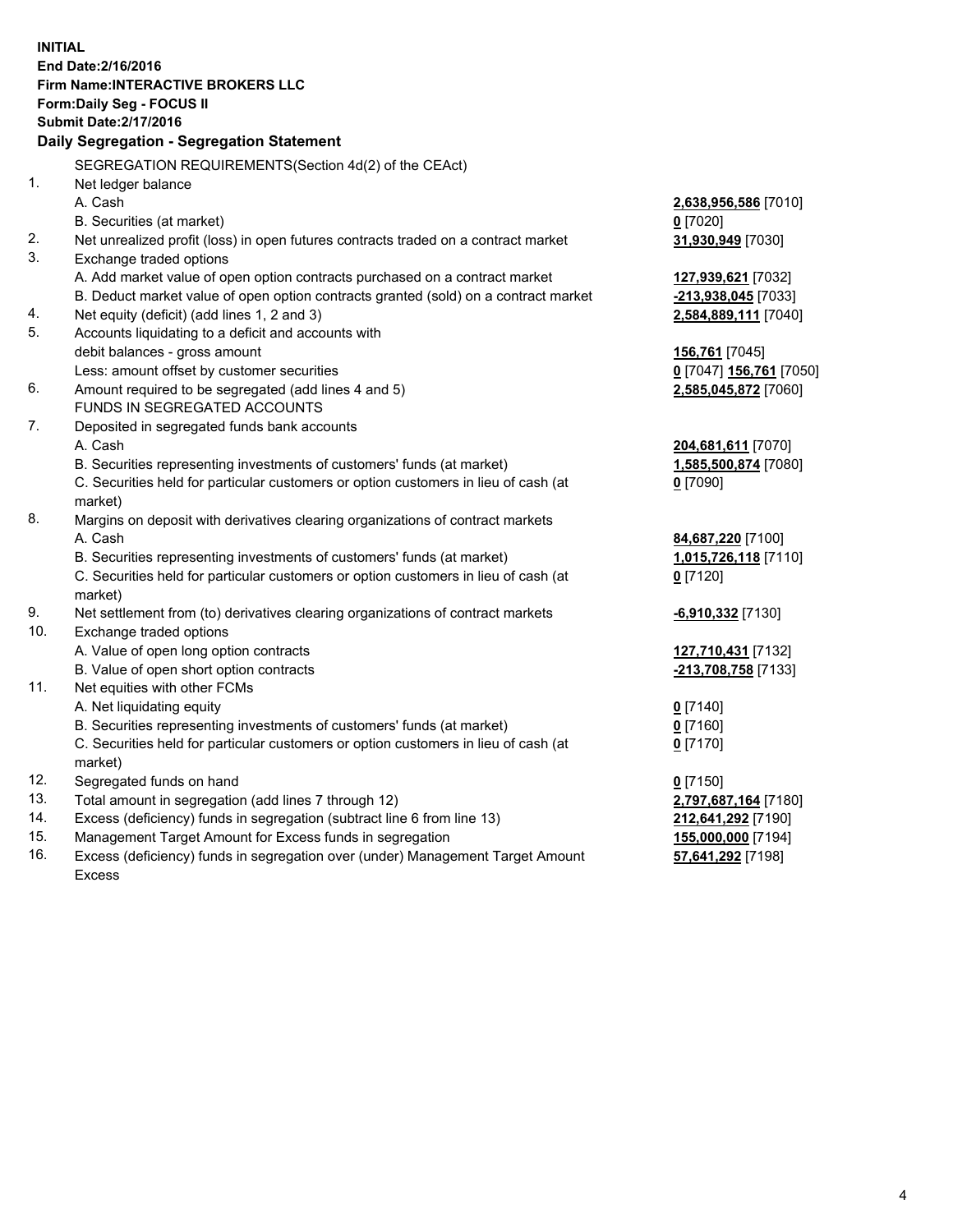**INITIAL End Date:2/16/2016 Firm Name:INTERACTIVE BROKERS LLC Form:Daily Seg - FOCUS II Submit Date:2/17/2016 Daily Segregation - Segregation Statement** SEGREGATION REQUIREMENTS(Section 4d(2) of the CEAct) 1. Net ledger balance A. Cash **2,638,956,586** [7010] B. Securities (at market) **0** [7020] 2. Net unrealized profit (loss) in open futures contracts traded on a contract market **31,930,949** [7030] 3. Exchange traded options A. Add market value of open option contracts purchased on a contract market **127,939,621** [7032] B. Deduct market value of open option contracts granted (sold) on a contract market **-213,938,045** [7033] 4. Net equity (deficit) (add lines 1, 2 and 3) **2,584,889,111** [7040] 5. Accounts liquidating to a deficit and accounts with debit balances - gross amount **156,761** [7045] Less: amount offset by customer securities **0** [7047] **156,761** [7050] 6. Amount required to be segregated (add lines 4 and 5) **2,585,045,872** [7060] FUNDS IN SEGREGATED ACCOUNTS 7. Deposited in segregated funds bank accounts A. Cash **204,681,611** [7070] B. Securities representing investments of customers' funds (at market) **1,585,500,874** [7080] C. Securities held for particular customers or option customers in lieu of cash (at market) **0** [7090] 8. Margins on deposit with derivatives clearing organizations of contract markets A. Cash **84,687,220** [7100] B. Securities representing investments of customers' funds (at market) **1,015,726,118** [7110] C. Securities held for particular customers or option customers in lieu of cash (at market) **0** [7120] 9. Net settlement from (to) derivatives clearing organizations of contract markets **-6,910,332** [7130] 10. Exchange traded options A. Value of open long option contracts **127,710,431** [7132] B. Value of open short option contracts **-213,708,758** [7133] 11. Net equities with other FCMs A. Net liquidating equity **0** [7140] B. Securities representing investments of customers' funds (at market) **0** [7160] C. Securities held for particular customers or option customers in lieu of cash (at market) **0** [7170] 12. Segregated funds on hand **0** [7150] 13. Total amount in segregation (add lines 7 through 12) **2,797,687,164** [7180] 14. Excess (deficiency) funds in segregation (subtract line 6 from line 13) **212,641,292** [7190] 15. Management Target Amount for Excess funds in segregation **155,000,000** [7194]

16. Excess (deficiency) funds in segregation over (under) Management Target Amount Excess

**57,641,292** [7198]